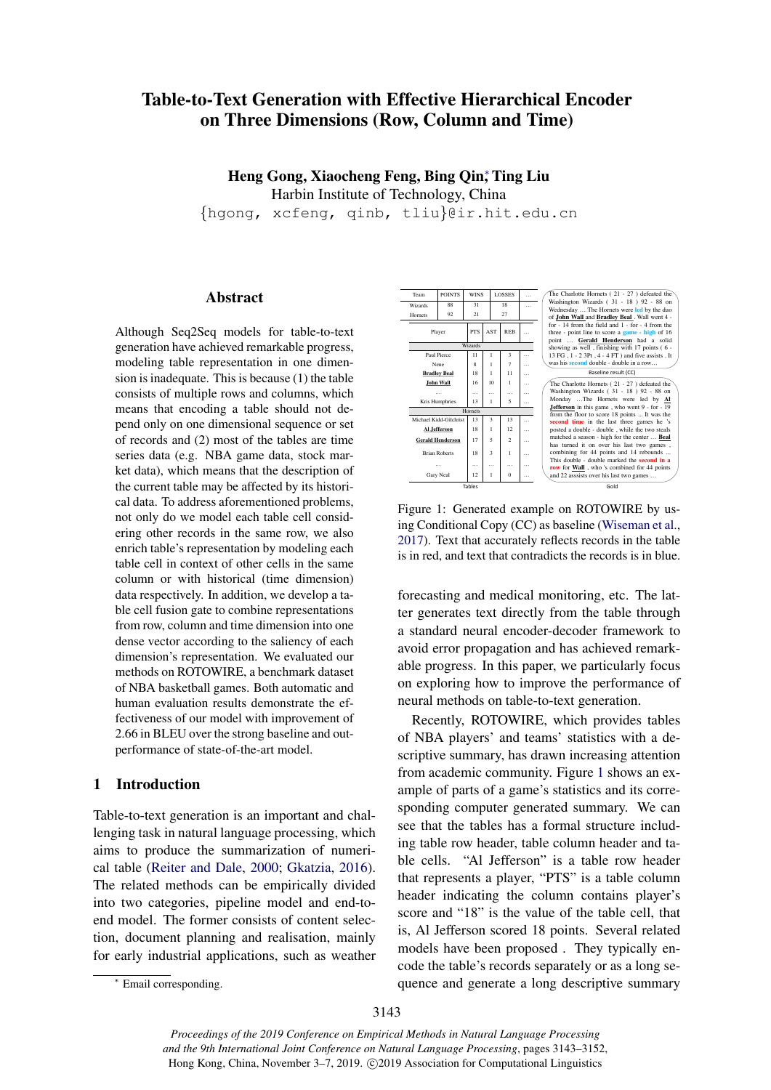# Table-to-Text Generation with Effective Hierarchical Encoder on Three Dimensions (Row, Column and Time)

Heng Gong, Xiaocheng Feng, Bing Qin; Ting Liu Harbin Institute of Technology, China

{hgong, xcfeng, qinb, tliu}@ir.hit.edu.cn

# Abstract

Although Seq2Seq models for table-to-text generation have achieved remarkable progress, modeling table representation in one dimension is inadequate. This is because (1) the table consists of multiple rows and columns, which means that encoding a table should not depend only on one dimensional sequence or set of records and (2) most of the tables are time series data (e.g. NBA game data, stock market data), which means that the description of the current table may be affected by its historical data. To address aforementioned problems, not only do we model each table cell considering other records in the same row, we also enrich table's representation by modeling each table cell in context of other cells in the same column or with historical (time dimension) data respectively. In addition, we develop a table cell fusion gate to combine representations from row, column and time dimension into one dense vector according to the saliency of each dimension's representation. We evaluated our methods on ROTOWIRE, a benchmark dataset of NBA basketball games. Both automatic and human evaluation results demonstrate the effectiveness of our model with improvement of 2.66 in BLEU over the strong baseline and outperformance of state-of-the-art model.

# <span id="page-0-1"></span>1 Introduction

Table-to-text generation is an important and challenging task in natural language processing, which aims to produce the summarization of numerical table [\(Reiter and Dale,](#page-9-0) [2000;](#page-9-0) [Gkatzia,](#page-9-1) [2016\)](#page-9-1). The related methods can be empirically divided into two categories, pipeline model and end-toend model. The former consists of content selection, document planning and realisation, mainly for early industrial applications, such as weather

Figure 1: Generated example on ROTOWIRE by using Conditional Copy (CC) as baseline [\(Wiseman et al.,](#page-9-2) [2017\)](#page-9-2). Text that accurately reflects records in the table is in red, and text that contradicts the records is in blue.

Gold

Tables

forecasting and medical monitoring, etc. The latter generates text directly from the table through a standard neural encoder-decoder framework to avoid error propagation and has achieved remarkable progress. In this paper, we particularly focus on exploring how to improve the performance of neural methods on table-to-text generation.

Recently, ROTOWIRE, which provides tables of NBA players' and teams' statistics with a descriptive summary, has drawn increasing attention from academic community. Figure [1](#page-0-0) shows an example of parts of a game's statistics and its corresponding computer generated summary. We can see that the tables has a formal structure including table row header, table column header and table cells. "Al Jefferson" is a table row header that represents a player, "PTS" is a table column header indicating the column contains player's score and "18" is the value of the table cell, that is, Al Jefferson scored 18 points. Several related models have been proposed . They typically encode the table's records separately or as a long sequence and generate a long descriptive summary

<span id="page-0-0"></span>Player | PTS | AST | REB Wizards Paul Pierce 11<br>Nene 8 Nene 8 | 1 | 7 | … **Bradley Beal** 18 1 11 **John Wall** 16 10 1 … … … … … … … … Kris Humphries 13 1 5 … Hornets Michael Kidd-Gilchrist 13 3 13<br>**Al Jefferson** 18 1 12 **Al Jefferson** 18 1 12 … **Gerald Henderson**  $\begin{array}{|c|c|c|c|} 17 & 5 & 2 \end{array}$ Brian Roberts  $\begin{array}{|c|c|c|c|c|c|} \hline 18 & 3 & 1 \ \hline \end{array}$ … … … … … … … … Gary Neal  $\begin{array}{|c|c|c|}\n\hline\n\vdots & \vdots & \vdots & \vdots \\
\hline\n\vdots & \vdots & \vdots & \vdots & \vdots \\
\hline\n\vdots & \vdots & \vdots & \vdots & \vdots \\
\hline\n\vdots & \vdots & \vdots & \vdots & \vdots \\
\hline\n\vdots & \vdots & \vdots & \vdots & \vdots \\
\hline\n\vdots & \vdots & \vdots & \vdots & \vdots \\
\hline\n\vdots & \vdots & \vdots & \vdots & \vdots \\
\hline\n\vdots & \vdots & \vdots & \vdots & \vdots \\
\hline\n\vdots &$ The Charlotte Hornets  $(21 - 27)$  defeated the Washington Wizards ( 31 - 18 ) 92 - 88 on Wednesday … The Hornets were **led** by the duo of **John Wall** and **Bradley Beal** . Wall went 4 - for - 14 from the field and 1 - for - 4 from the three - point line to score a **game - high** of 16 point … **Gerald Henderson** had a solid showing as well, finishing with 17 points ( 6 - 13 FG , 1 - 2 3Pt , 4 - 4 FT ) and five assists . It was his **second** double - double in a row… Baseline result (CC) POINTS WINS Wizards 88 31 18 … Wizards 88 31 18<br>Hornets 92 21 27 The Charlotte Homets (21 - 27) defeated the<br>Washington Wizzards (31 - 18 ) 92 - 88 on<br>Monday ...The Homets were led by  $\underline{\text{Al}}$ <br>**Lefferson** in this game, who went 9 - for - 19<br>**Lefferson** in this game, who went 9 - for has turned it on over his last two games combining for 44 points and 14 rebounds ... This double - double marked the **second in a row** for **Wall** , who 's combined for 44 points and 22 asssists over his last two games …

<sup>∗</sup> Email corresponding.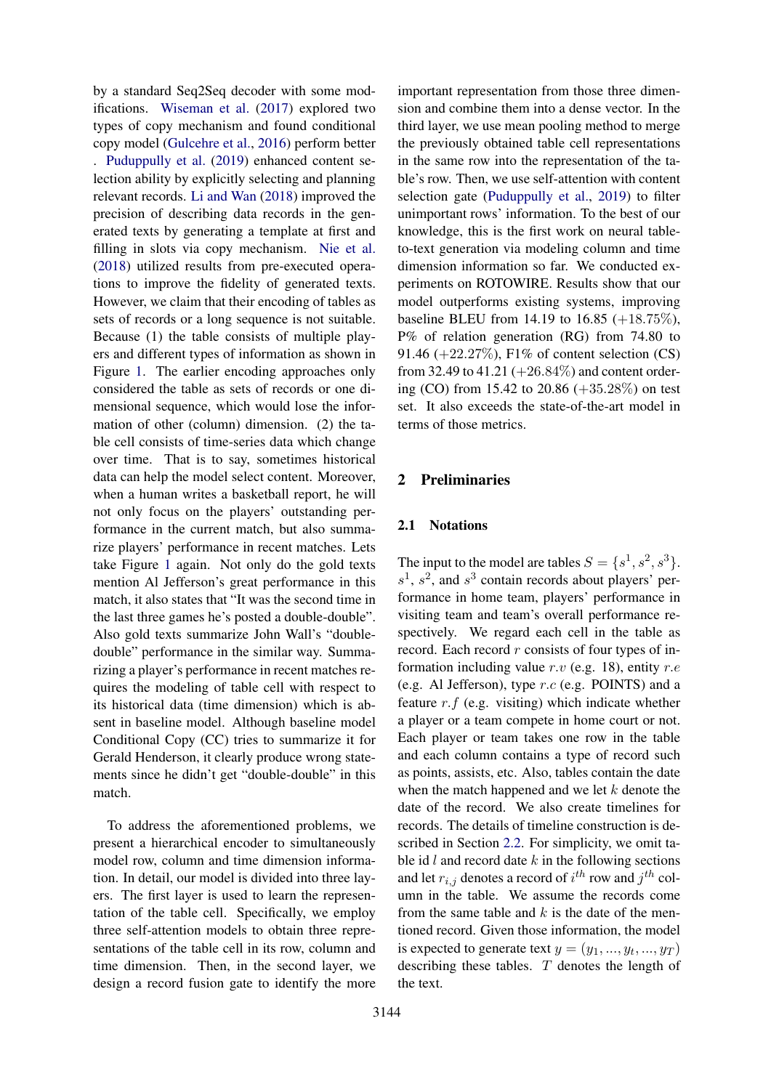by a standard Seq2Seq decoder with some modifications. [Wiseman et al.](#page-9-2) [\(2017\)](#page-9-2) explored two types of copy mechanism and found conditional copy model [\(Gulcehre et al.,](#page-9-3) [2016\)](#page-9-3) perform better . [Puduppully et al.](#page-9-4) [\(2019\)](#page-9-4) enhanced content selection ability by explicitly selecting and planning relevant records. [Li and Wan](#page-9-5) [\(2018\)](#page-9-5) improved the precision of describing data records in the generated texts by generating a template at first and filling in slots via copy mechanism. [Nie et al.](#page-9-6) [\(2018\)](#page-9-6) utilized results from pre-executed operations to improve the fidelity of generated texts. However, we claim that their encoding of tables as sets of records or a long sequence is not suitable. Because (1) the table consists of multiple players and different types of information as shown in Figure [1.](#page-0-0) The earlier encoding approaches only considered the table as sets of records or one dimensional sequence, which would lose the information of other (column) dimension. (2) the table cell consists of time-series data which change over time. That is to say, sometimes historical data can help the model select content. Moreover, when a human writes a basketball report, he will not only focus on the players' outstanding performance in the current match, but also summarize players' performance in recent matches. Lets take Figure [1](#page-0-0) again. Not only do the gold texts mention Al Jefferson's great performance in this match, it also states that "It was the second time in the last three games he's posted a double-double". Also gold texts summarize John Wall's "doubledouble" performance in the similar way. Summarizing a player's performance in recent matches requires the modeling of table cell with respect to its historical data (time dimension) which is absent in baseline model. Although baseline model Conditional Copy (CC) tries to summarize it for Gerald Henderson, it clearly produce wrong statements since he didn't get "double-double" in this match.

To address the aforementioned problems, we present a hierarchical encoder to simultaneously model row, column and time dimension information. In detail, our model is divided into three layers. The first layer is used to learn the representation of the table cell. Specifically, we employ three self-attention models to obtain three representations of the table cell in its row, column and time dimension. Then, in the second layer, we design a record fusion gate to identify the more

important representation from those three dimension and combine them into a dense vector. In the third layer, we use mean pooling method to merge the previously obtained table cell representations in the same row into the representation of the table's row. Then, we use self-attention with content selection gate [\(Puduppully et al.,](#page-9-4) [2019\)](#page-9-4) to filter unimportant rows' information. To the best of our knowledge, this is the first work on neural tableto-text generation via modeling column and time dimension information so far. We conducted experiments on ROTOWIRE. Results show that our model outperforms existing systems, improving baseline BLEU from 14.19 to 16.85  $(+18.75\%),$ P% of relation generation (RG) from 74.80 to 91.46 (+22.27%), F1% of content selection (CS) from 32.49 to 41.21  $(+26.84\%)$  and content ordering (CO) from 15.42 to 20.86 (+35.28%) on test set. It also exceeds the state-of-the-art model in terms of those metrics.

# 2 Preliminaries

### <span id="page-1-0"></span>2.1 Notations

The input to the model are tables  $S = \{s^1, s^2, s^3\}.$  $s<sup>1</sup>$ ,  $s<sup>2</sup>$ , and  $s<sup>3</sup>$  contain records about players' performance in home team, players' performance in visiting team and team's overall performance respectively. We regard each cell in the table as record. Each record  $r$  consists of four types of information including value  $r.v$  (e.g. 18), entity  $r.e$ (e.g. Al Jefferson), type r.c (e.g. POINTS) and a feature  $r.f$  (e.g. visiting) which indicate whether a player or a team compete in home court or not. Each player or team takes one row in the table and each column contains a type of record such as points, assists, etc. Also, tables contain the date when the match happened and we let  $k$  denote the date of the record. We also create timelines for records. The details of timeline construction is described in Section [2.2.](#page-2-0) For simplicity, we omit table id  $l$  and record date  $k$  in the following sections and let  $r_{i,j}$  denotes a record of  $i^{th}$  row and  $j^{th}$  column in the table. We assume the records come from the same table and  $k$  is the date of the mentioned record. Given those information, the model is expected to generate text  $y = (y_1, ..., y_t, ..., y_T)$ describing these tables. T denotes the length of the text.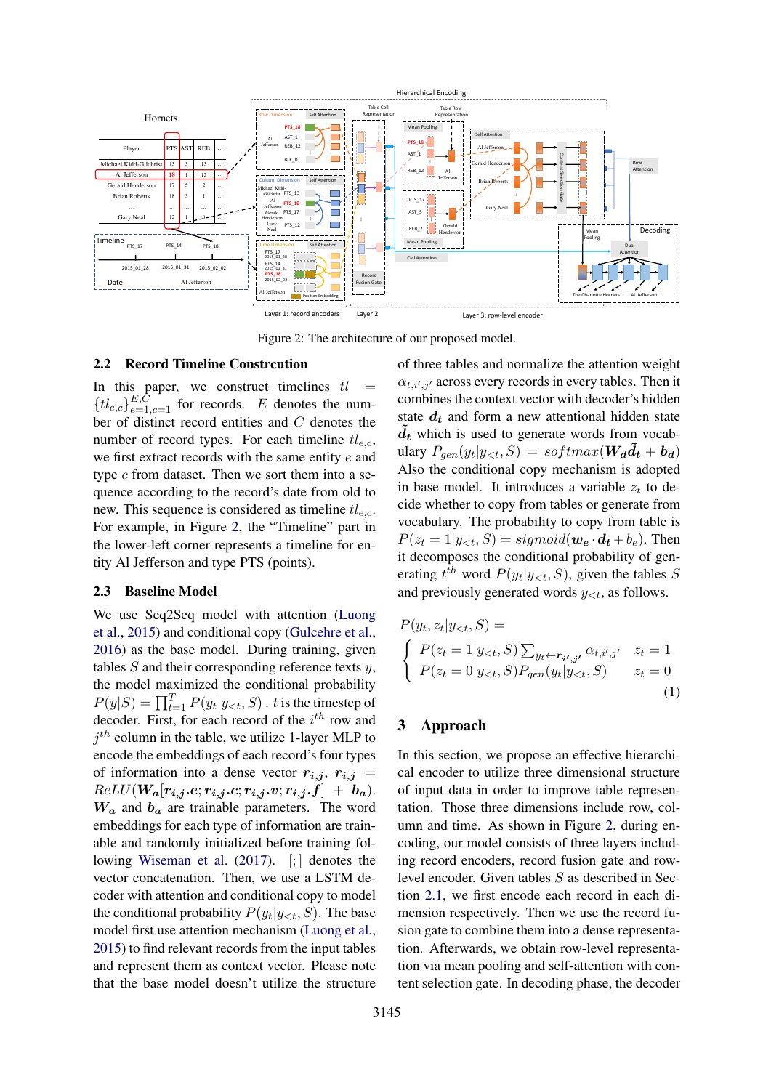<span id="page-2-1"></span>

Figure 2: The architecture of our proposed model.

## <span id="page-2-0"></span>2.2 Record Timeline Constrcution

In this paper, we construct timelines  $tl =$  ${t_l}_{e,c}$ <sub> ${E,C \atop e=1,c=1}$ </sub> for records. E denotes the number of distinct record entities and C denotes the number of record types. For each timeline  $tl_{e,c}$ , we first extract records with the same entity e and type  $c$  from dataset. Then we sort them into a sequence according to the record's date from old to new. This sequence is considered as timeline  $tl_{e,c}$ . For example, in Figure [2,](#page-2-1) the "Timeline" part in the lower-left corner represents a timeline for entity Al Jefferson and type PTS (points).

# <span id="page-2-2"></span>2.3 Baseline Model

We use Seq2Seq model with attention [\(Luong](#page-9-7) [et al.,](#page-9-7) [2015\)](#page-9-7) and conditional copy [\(Gulcehre et al.,](#page-9-3) [2016\)](#page-9-3) as the base model. During training, given tables  $S$  and their corresponding reference texts  $y$ , the model maximized the conditional probability  $P(y|S) = \prod_{t=1}^{T} P(y_t|y_{< t}, S)$ . t is the timestep of decoder. First, for each record of the  $i^{th}$  row and  $j<sup>th</sup>$  column in the table, we utilize 1-layer MLP to encode the embeddings of each record's four types of information into a dense vector  $r_{i,j}$ ,  $r_{i,j}$  =  $ReLU(W_a[r_{i,j}.e; r_{i,j}.c; r_{i,j}.v; r_{i,j}.f] + b_a).$  $W_a$  and  $b_a$  are trainable parameters. The word embeddings for each type of information are trainable and randomly initialized before training fol-lowing [Wiseman et al.](#page-9-2) [\(2017\)](#page-9-2). [;] denotes the vector concatenation. Then, we use a LSTM decoder with attention and conditional copy to model the conditional probability  $P(y_t|y_{<};, S)$ . The base model first use attention mechanism [\(Luong et al.,](#page-9-7) [2015\)](#page-9-7) to find relevant records from the input tables and represent them as context vector. Please note that the base model doesn't utilize the structure

of three tables and normalize the attention weight  $\alpha_{t,i',j'}$  across every records in every tables. Then it combines the context vector with decoder's hidden state  $d_t$  and form a new attentional hidden state  $d_t$  which is used to generate words from vocabulary  $P_{gen}(y_t|y_{$ Also the conditional copy mechanism is adopted in base model. It introduces a variable  $z_t$  to decide whether to copy from tables or generate from vocabulary. The probability to copy from table is  $P(z_t = 1 | y_{\leq t}, S) = sigmoid(\boldsymbol{w}_e \cdot \boldsymbol{d}_t + b_e)$ . Then it decomposes the conditional probability of generating  $t^{th}$  word  $P(y_t|y_{< t}, S)$ , given the tables S and previously generated words  $y_{\leq t}$ , as follows.

$$
P(y_t, z_t | y_{< t}, S) =
$$
\n
$$
\begin{cases}\nP(z_t = 1 | y_{< t}, S) \sum_{y_t \leftarrow r_{i', j'} } \alpha_{t, i', j'} & z_t = 1 \\
P(z_t = 0 | y_{< t}, S) P_{gen}(y_t | y_{< t}, S) & z_t = 0\n\end{cases}
$$
\n(1)

# <span id="page-2-3"></span>3 Approach

In this section, we propose an effective hierarchical encoder to utilize three dimensional structure of input data in order to improve table representation. Those three dimensions include row, column and time. As shown in Figure [2,](#page-2-1) during encoding, our model consists of three layers including record encoders, record fusion gate and rowlevel encoder. Given tables S as described in Section [2.1,](#page-1-0) we first encode each record in each dimension respectively. Then we use the record fusion gate to combine them into a dense representation. Afterwards, we obtain row-level representation via mean pooling and self-attention with content selection gate. In decoding phase, the decoder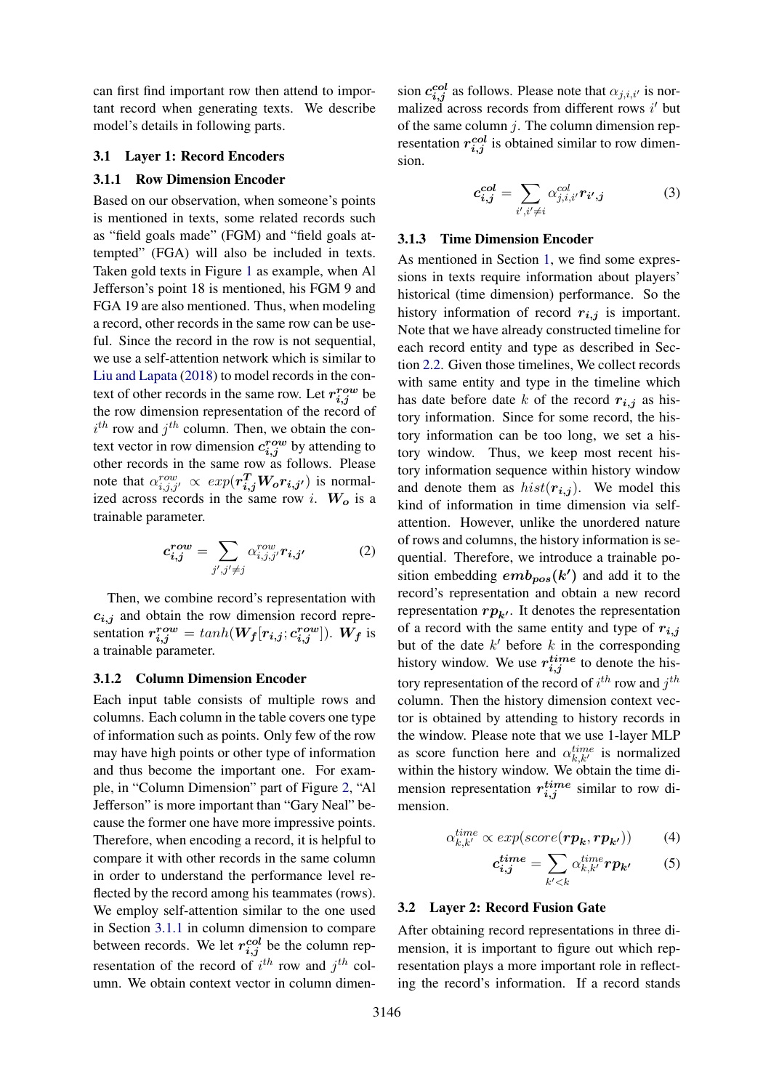can first find important row then attend to important record when generating texts. We describe model's details in following parts.

# 3.1 Layer 1: Record Encoders

# <span id="page-3-0"></span>3.1.1 Row Dimension Encoder

Based on our observation, when someone's points is mentioned in texts, some related records such as "field goals made" (FGM) and "field goals attempted" (FGA) will also be included in texts. Taken gold texts in Figure [1](#page-0-0) as example, when Al Jefferson's point 18 is mentioned, his FGM 9 and FGA 19 are also mentioned. Thus, when modeling a record, other records in the same row can be useful. Since the record in the row is not sequential, we use a self-attention network which is similar to [Liu and Lapata](#page-9-8) [\(2018\)](#page-9-8) to model records in the context of other records in the same row. Let  $r_{i,j}^{row}$  be the row dimension representation of the record of  $i^{th}$  row and  $j^{th}$  column. Then, we obtain the context vector in row dimension  $c_{i,j}^{row}$  by attending to other records in the same row as follows. Please note that  $\alpha_{i,j,j'}^{row} \propto exp(r_{i,j}^T W_o r_{i,j'})$  is normalized across records in the same row i.  $W_o$  is a trainable parameter.

$$
c_{i,j}^{row} = \sum_{j',j'\neq j} \alpha_{i,j,j'}^{row} r_{i,j'}
$$
 (2)

Then, we combine record's representation with  $c_{i,j}$  and obtain the row dimension record representation  $r_{i,j}^{row} = tanh(W_f[r_{i,j}; c_{i,j}^{row}])$ . W<sub>f</sub> is a trainable parameter.

### 3.1.2 Column Dimension Encoder

Each input table consists of multiple rows and columns. Each column in the table covers one type of information such as points. Only few of the row may have high points or other type of information and thus become the important one. For example, in "Column Dimension" part of Figure [2,](#page-2-1) "Al Jefferson" is more important than "Gary Neal" because the former one have more impressive points. Therefore, when encoding a record, it is helpful to compare it with other records in the same column in order to understand the performance level reflected by the record among his teammates (rows). We employ self-attention similar to the one used in Section [3.1.1](#page-3-0) in column dimension to compare between records. We let  $r_{i,j}^{col}$  be the column representation of the record of  $i^{th}$  row and  $j^{th}$  column. We obtain context vector in column dimension  $c_{i,j}^{col}$  as follows. Please note that  $\alpha_{j,i,i'}$  is normalized across records from different rows  $i'$  but of the same column  $j$ . The column dimension representation  $r_{i,j}^{col}$  is obtained similar to row dimension.

$$
c_{i,j}^{col} = \sum_{i',i' \neq i} \alpha_{j,i,i'}^{col} r_{i',j} \tag{3}
$$

### 3.1.3 Time Dimension Encoder

As mentioned in Section [1,](#page-0-1) we find some expressions in texts require information about players' historical (time dimension) performance. So the history information of record  $r_{i,j}$  is important. Note that we have already constructed timeline for each record entity and type as described in Section [2.2.](#page-2-0) Given those timelines, We collect records with same entity and type in the timeline which has date before date k of the record  $r_{i,j}$  as history information. Since for some record, the history information can be too long, we set a history window. Thus, we keep most recent history information sequence within history window and denote them as  $hist(\mathbf{r}_{i,j})$ . We model this kind of information in time dimension via selfattention. However, unlike the unordered nature of rows and columns, the history information is sequential. Therefore, we introduce a trainable position embedding  $emb_{pos}(k')$  and add it to the record's representation and obtain a new record representation  $rp_{k'}$ . It denotes the representation of a record with the same entity and type of  $r_{i,j}$ but of the date  $k'$  before  $k$  in the corresponding history window. We use  $r_{i,j}^{time}$  to denote the history representation of the record of  $i^{th}$  row and  $j^{th}$ column. Then the history dimension context vector is obtained by attending to history records in the window. Please note that we use 1-layer MLP as score function here and  $\alpha_{k,k'}^{time}$  is normalized within the history window. We obtain the time dimension representation  $r_{i,j}^{time}$  similar to row dimension.

$$
\alpha_{k,k'}^{time} \propto exp(score(\boldsymbol{rp_k}, \boldsymbol{rp_{k'}}))
$$
 (4)

$$
c_{i,j}^{time} = \sum_{k' < k} \alpha_{k,k'}^{time} r p_{k'} \tag{5}
$$

### 3.2 Layer 2: Record Fusion Gate

After obtaining record representations in three dimension, it is important to figure out which representation plays a more important role in reflecting the record's information. If a record stands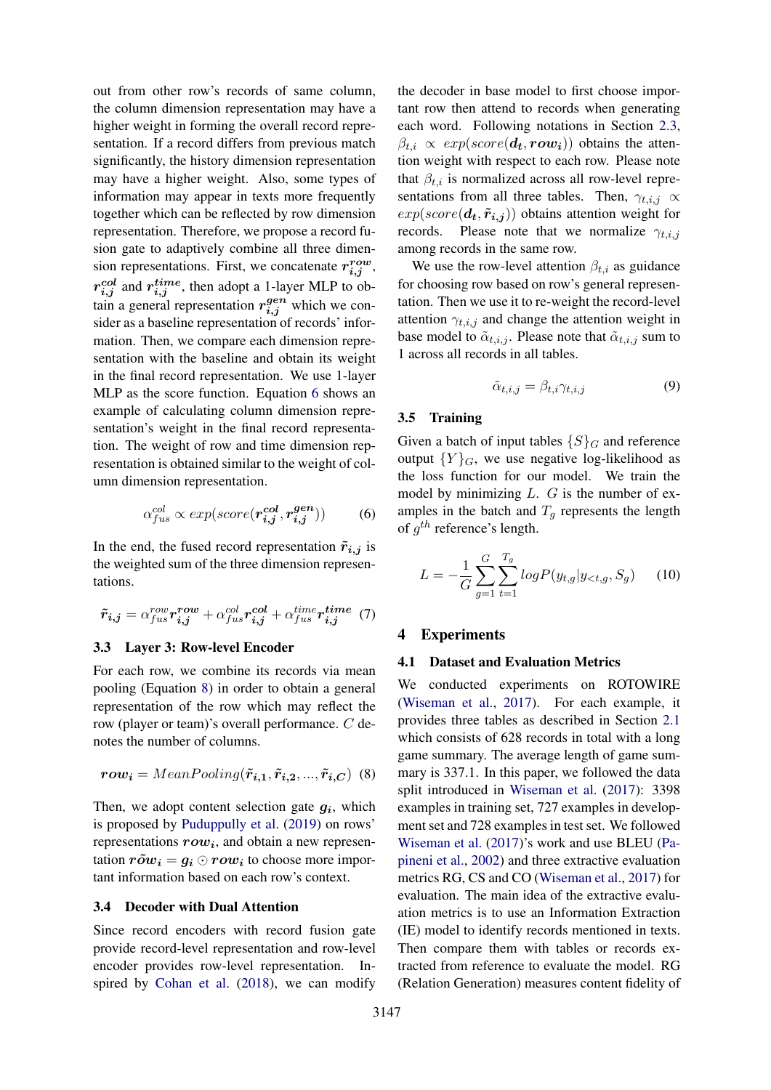out from other row's records of same column, the column dimension representation may have a higher weight in forming the overall record representation. If a record differs from previous match significantly, the history dimension representation may have a higher weight. Also, some types of information may appear in texts more frequently together which can be reflected by row dimension representation. Therefore, we propose a record fusion gate to adaptively combine all three dimension representations. First, we concatenate  $r_{i,j}^{row}$ ,  $r_{i,j}^{col}$  and  $r_{i,j}^{time}$ , then adopt a 1-layer MLP to obtain a general representation  $r_{i,j}^{gen}$  which we consider as a baseline representation of records' information. Then, we compare each dimension representation with the baseline and obtain its weight in the final record representation. We use 1-layer MLP as the score function. Equation [6](#page-4-0) shows an example of calculating column dimension representation's weight in the final record representation. The weight of row and time dimension representation is obtained similar to the weight of column dimension representation.

$$
\alpha_{fus}^{col} \propto exp(score(\boldsymbol{r}_{i,j}^{col}, \boldsymbol{r}_{i,j}^{gen}))
$$
 (6)

In the end, the fused record representation  $\tilde{r}_{i,j}$  is the weighted sum of the three dimension representations.

$$
\tilde{r}_{i,j} = \alpha_{fus}^{row} r_{i,j}^{row} + \alpha_{fus}^{col} r_{i,j}^{col} + \alpha_{fus}^{time} r_{i,j}^{time}
$$
 (7)

### 3.3 Layer 3: Row-level Encoder

For each row, we combine its records via mean pooling (Equation [8\)](#page-4-1) in order to obtain a general representation of the row which may reflect the row (player or team)'s overall performance. C denotes the number of columns.

$$
row_i = MeanPooling(\tilde{r}_{i,1}, \tilde{r}_{i,2}, ..., \tilde{r}_{i,C})
$$
 (8)

Then, we adopt content selection gate  $g_i$ , which is proposed by [Puduppully et al.](#page-9-4) [\(2019\)](#page-9-4) on rows' representations  $row_i$ , and obtain a new representation  $r\tilde{o}w_i = q_i \odot row_i$  to choose more important information based on each row's context.

#### 3.4 Decoder with Dual Attention

Since record encoders with record fusion gate provide record-level representation and row-level encoder provides row-level representation. Inspired by [Cohan et al.](#page-8-0) [\(2018\)](#page-8-0), we can modify

the decoder in base model to first choose important row then attend to records when generating each word. Following notations in Section [2.3,](#page-2-2)  $\beta_{t,i} \propto exp(score(\boldsymbol{d_t},\boldsymbol{row_i}))$  obtains the attention weight with respect to each row. Please note that  $\beta_{t,i}$  is normalized across all row-level representations from all three tables. Then,  $\gamma_{t,i,j} \propto$  $exp(score(\boldsymbol{d_t}, \boldsymbol{\tilde{r}_{i,j}}))$  obtains attention weight for records. Please note that we normalize  $\gamma_{t,i,j}$ among records in the same row.

We use the row-level attention  $\beta_{t,i}$  as guidance for choosing row based on row's general representation. Then we use it to re-weight the record-level attention  $\gamma_{t,i,j}$  and change the attention weight in base model to  $\tilde{\alpha}_{t,i,j}$ . Please note that  $\tilde{\alpha}_{t,i,j}$  sum to 1 across all records in all tables.

$$
\tilde{\alpha}_{t,i,j} = \beta_{t,i}\gamma_{t,i,j} \tag{9}
$$

### 3.5 Training

<span id="page-4-0"></span>Given a batch of input tables  $\{S\}_G$  and reference output  ${Y}_{G}$ , we use negative log-likelihood as the loss function for our model. We train the model by minimizing  $L$ .  $G$  is the number of examples in the batch and  $T_q$  represents the length of  $g^{th}$  reference's length.

$$
L = -\frac{1}{G} \sum_{g=1}^{G} \sum_{t=1}^{T_g} log P(y_{t,g} | y_{< t,g}, S_g) \tag{10}
$$

### 4 Experiments

### 4.1 Dataset and Evaluation Metrics

<span id="page-4-1"></span>We conducted experiments on ROTOWIRE [\(Wiseman et al.,](#page-9-2) [2017\)](#page-9-2). For each example, it provides three tables as described in Section [2.1](#page-1-0) which consists of 628 records in total with a long game summary. The average length of game summary is 337.1. In this paper, we followed the data split introduced in [Wiseman et al.](#page-9-2) [\(2017\)](#page-9-2): 3398 examples in training set, 727 examples in development set and 728 examples in test set. We followed [Wiseman et al.](#page-9-2) [\(2017\)](#page-9-2)'s work and use BLEU [\(Pa](#page-9-9)[pineni et al.,](#page-9-9) [2002\)](#page-9-9) and three extractive evaluation metrics RG, CS and CO [\(Wiseman et al.,](#page-9-2) [2017\)](#page-9-2) for evaluation. The main idea of the extractive evaluation metrics is to use an Information Extraction (IE) model to identify records mentioned in texts. Then compare them with tables or records extracted from reference to evaluate the model. RG (Relation Generation) measures content fidelity of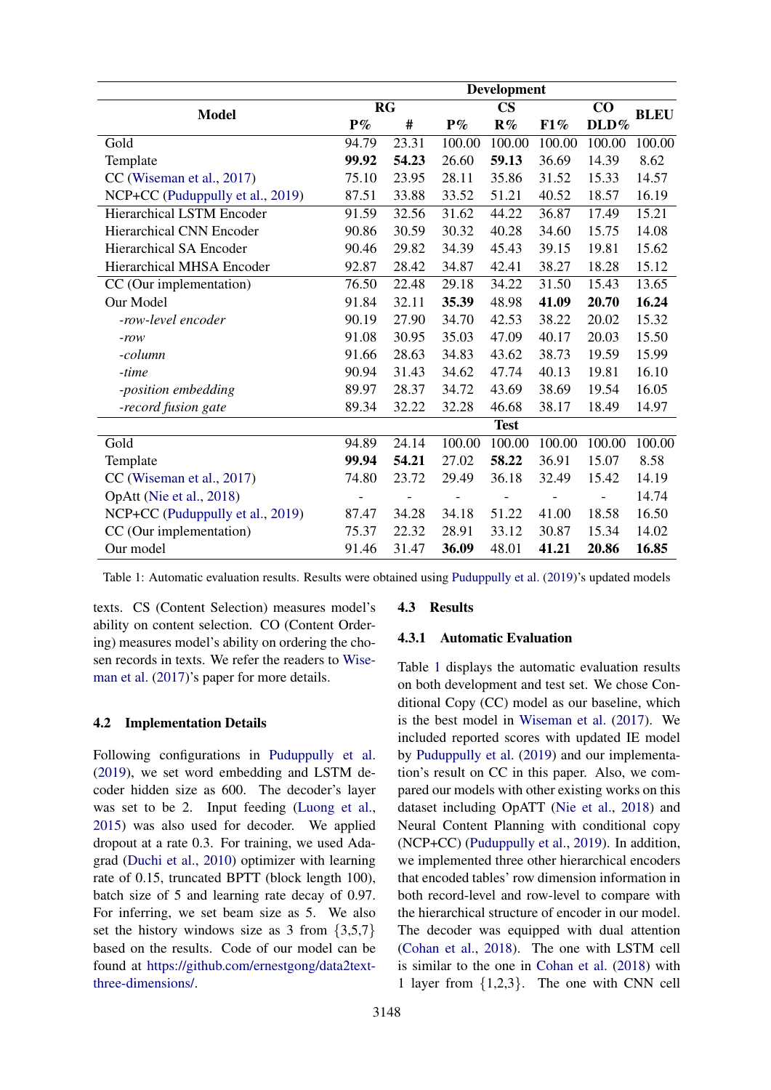<span id="page-5-0"></span>

|                                  | Development |       |               |                |        |          |             |
|----------------------------------|-------------|-------|---------------|----------------|--------|----------|-------------|
| <b>Model</b>                     | <b>RG</b>   |       | $\mathbf{CS}$ |                |        | $\bf CO$ | <b>BLEU</b> |
|                                  | $P\%$       | #     | $P\%$         | $\mathbf{R}\%$ | F1%    | DLD%     |             |
| Gold                             | 94.79       | 23.31 | 100.00        | 100.00         | 100.00 | 100.00   | 100.00      |
| Template                         | 99.92       | 54.23 | 26.60         | 59.13          | 36.69  | 14.39    | 8.62        |
| CC (Wiseman et al., 2017)        | 75.10       | 23.95 | 28.11         | 35.86          | 31.52  | 15.33    | 14.57       |
| NCP+CC (Puduppully et al., 2019) | 87.51       | 33.88 | 33.52         | 51.21          | 40.52  | 18.57    | 16.19       |
| <b>Hierarchical LSTM Encoder</b> | 91.59       | 32.56 | 31.62         | 44.22          | 36.87  | 17.49    | 15.21       |
| <b>Hierarchical CNN Encoder</b>  | 90.86       | 30.59 | 30.32         | 40.28          | 34.60  | 15.75    | 14.08       |
| <b>Hierarchical SA Encoder</b>   | 90.46       | 29.82 | 34.39         | 45.43          | 39.15  | 19.81    | 15.62       |
| Hierarchical MHSA Encoder        | 92.87       | 28.42 | 34.87         | 42.41          | 38.27  | 18.28    | 15.12       |
| CC (Our implementation)          | 76.50       | 22.48 | 29.18         | 34.22          | 31.50  | 15.43    | 13.65       |
| Our Model                        | 91.84       | 32.11 | 35.39         | 48.98          | 41.09  | 20.70    | 16.24       |
| -row-level encoder               | 90.19       | 27.90 | 34.70         | 42.53          | 38.22  | 20.02    | 15.32       |
| $-row$                           | 91.08       | 30.95 | 35.03         | 47.09          | 40.17  | 20.03    | 15.50       |
| -column                          | 91.66       | 28.63 | 34.83         | 43.62          | 38.73  | 19.59    | 15.99       |
| -time                            | 90.94       | 31.43 | 34.62         | 47.74          | 40.13  | 19.81    | 16.10       |
| -position embedding              | 89.97       | 28.37 | 34.72         | 43.69          | 38.69  | 19.54    | 16.05       |
| -record fusion gate              | 89.34       | 32.22 | 32.28         | 46.68          | 38.17  | 18.49    | 14.97       |
|                                  |             |       |               | <b>Test</b>    |        |          |             |
| Gold                             | 94.89       | 24.14 | 100.00        | 100.00         | 100.00 | 100.00   | 100.00      |
| Template                         | 99.94       | 54.21 | 27.02         | 58.22          | 36.91  | 15.07    | 8.58        |
| CC (Wiseman et al., 2017)        | 74.80       | 23.72 | 29.49         | 36.18          | 32.49  | 15.42    | 14.19       |
| OpAtt (Nie et al., 2018)         |             |       |               |                |        |          | 14.74       |
| NCP+CC (Puduppully et al., 2019) | 87.47       | 34.28 | 34.18         | 51.22          | 41.00  | 18.58    | 16.50       |
| CC (Our implementation)          | 75.37       | 22.32 | 28.91         | 33.12          | 30.87  | 15.34    | 14.02       |
| Our model                        | 91.46       | 31.47 | 36.09         | 48.01          | 41.21  | 20.86    | 16.85       |

Table 1: Automatic evaluation results. Results were obtained using [Puduppully et al.](#page-9-4) [\(2019\)](#page-9-4)'s updated models

texts. CS (Content Selection) measures model's ability on content selection. CO (Content Ordering) measures model's ability on ordering the chosen records in texts. We refer the readers to [Wise](#page-9-2)[man et al.](#page-9-2)  $(2017)$ 's paper for more details.

# 4.2 Implementation Details

Following configurations in [Puduppully et al.](#page-9-4) [\(2019\)](#page-9-4), we set word embedding and LSTM decoder hidden size as 600. The decoder's layer was set to be 2. Input feeding [\(Luong et al.,](#page-9-7) [2015\)](#page-9-7) was also used for decoder. We applied dropout at a rate 0.3. For training, we used Adagrad [\(Duchi et al.,](#page-8-1) [2010\)](#page-8-1) optimizer with learning rate of 0.15, truncated BPTT (block length 100), batch size of 5 and learning rate decay of 0.97. For inferring, we set beam size as 5. We also set the history windows size as 3 from  $\{3,5,7\}$ based on the results. Code of our model can be found at [https://github.com/ernestgong/data2text](https://github.com/ernestgong/data2text-three-dimensions/)[three-dimensions/.](https://github.com/ernestgong/data2text-three-dimensions/)

# 4.3 Results

# 4.3.1 Automatic Evaluation

Table [1](#page-5-0) displays the automatic evaluation results on both development and test set. We chose Conditional Copy (CC) model as our baseline, which is the best model in [Wiseman et al.](#page-9-2) [\(2017\)](#page-9-2). We included reported scores with updated IE model by [Puduppully et al.](#page-9-4) [\(2019\)](#page-9-4) and our implementation's result on CC in this paper. Also, we compared our models with other existing works on this dataset including OpATT [\(Nie et al.,](#page-9-6) [2018\)](#page-9-6) and Neural Content Planning with conditional copy (NCP+CC) [\(Puduppully et al.,](#page-9-4) [2019\)](#page-9-4). In addition, we implemented three other hierarchical encoders that encoded tables' row dimension information in both record-level and row-level to compare with the hierarchical structure of encoder in our model. The decoder was equipped with dual attention [\(Cohan et al.,](#page-8-0) [2018\)](#page-8-0). The one with LSTM cell is similar to the one in [Cohan et al.](#page-8-0) [\(2018\)](#page-8-0) with 1 layer from {1,2,3}. The one with CNN cell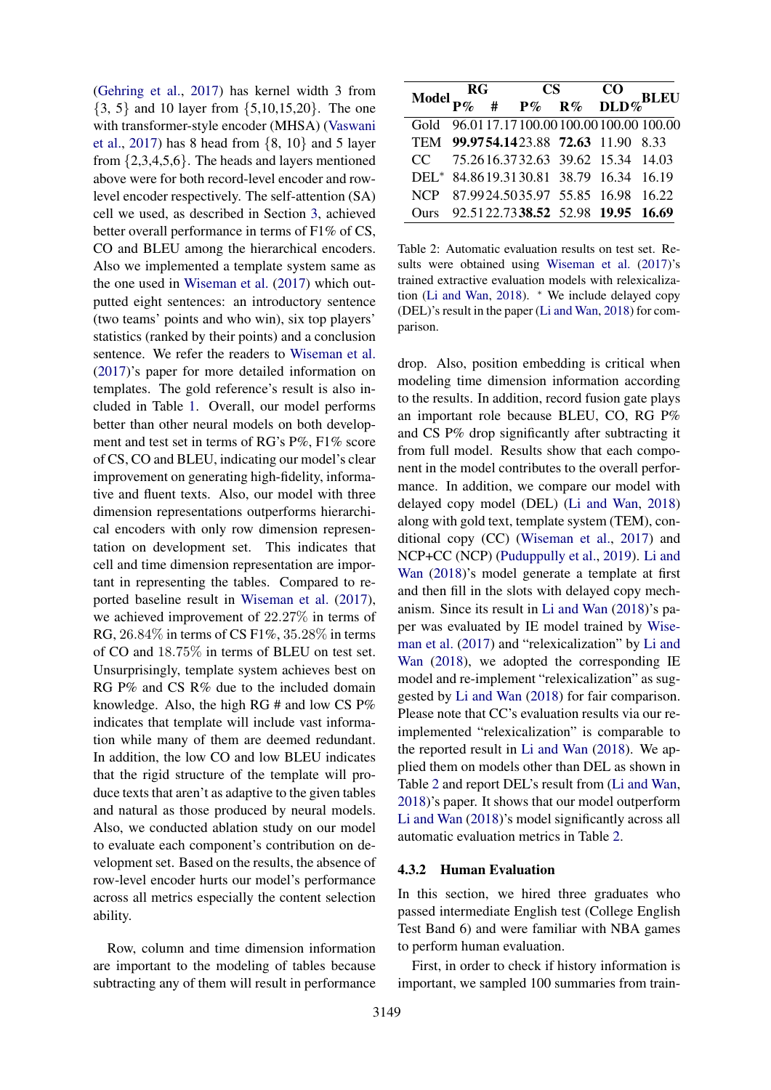[\(Gehring et al.,](#page-9-10) [2017\)](#page-9-10) has kernel width 3 from {3, 5} and 10 layer from {5,10,15,20}. The one with transformer-style encoder (MHSA) [\(Vaswani](#page-9-11) [et al.,](#page-9-11) [2017\)](#page-9-11) has 8 head from  $\{8, 10\}$  and 5 layer from {2,3,4,5,6}. The heads and layers mentioned above were for both record-level encoder and rowlevel encoder respectively. The self-attention (SA) cell we used, as described in Section [3,](#page-2-3) achieved better overall performance in terms of F1% of CS, CO and BLEU among the hierarchical encoders. Also we implemented a template system same as the one used in [Wiseman et al.](#page-9-2) [\(2017\)](#page-9-2) which outputted eight sentences: an introductory sentence (two teams' points and who win), six top players' statistics (ranked by their points) and a conclusion sentence. We refer the readers to [Wiseman et al.](#page-9-2) [\(2017\)](#page-9-2)'s paper for more detailed information on templates. The gold reference's result is also included in Table [1.](#page-5-0) Overall, our model performs better than other neural models on both development and test set in terms of RG's P%, F1% score of CS, CO and BLEU, indicating our model's clear improvement on generating high-fidelity, informative and fluent texts. Also, our model with three dimension representations outperforms hierarchical encoders with only row dimension representation on development set. This indicates that cell and time dimension representation are important in representing the tables. Compared to reported baseline result in [Wiseman et al.](#page-9-2) [\(2017\)](#page-9-2), we achieved improvement of 22.27% in terms of RG, 26.84% in terms of CS F1%, 35.28% in terms of CO and 18.75% in terms of BLEU on test set. Unsurprisingly, template system achieves best on RG P% and CS R% due to the included domain knowledge. Also, the high RG # and low CS P% indicates that template will include vast information while many of them are deemed redundant. In addition, the low CO and low BLEU indicates that the rigid structure of the template will produce texts that aren't as adaptive to the given tables and natural as those produced by neural models. Also, we conducted ablation study on our model to evaluate each component's contribution on development set. Based on the results, the absence of row-level encoder hurts our model's performance across all metrics especially the content selection ability.

Row, column and time dimension information are important to the modeling of tables because subtracting any of them will result in performance

<span id="page-6-0"></span>

| Model $\frac{RG}{P\%}$ # $\frac{CS}{P\%}$ $\frac{CO}{R\%}$ DLD% BLEU |  |  |  |                                              |  |
|----------------------------------------------------------------------|--|--|--|----------------------------------------------|--|
|                                                                      |  |  |  |                                              |  |
|                                                                      |  |  |  | Gold 96.01 17.17 100.00 100.00 100.00 100.00 |  |
|                                                                      |  |  |  | TEM 99.9754.1423.88 72.63 11.90 8.33         |  |
|                                                                      |  |  |  | CC 75.2616.3732.63 39.62 15.34 14.03         |  |
|                                                                      |  |  |  | DEL* 84.8619.3130.81 38.79 16.34 16.19       |  |
|                                                                      |  |  |  | NCP 87.9924.5035.97 55.85 16.98 16.22        |  |
|                                                                      |  |  |  | Ours 92.5122.7338.52 52.98 19.95 16.69       |  |

Table 2: Automatic evaluation results on test set. Results were obtained using [Wiseman et al.](#page-9-2) [\(2017\)](#page-9-2)'s trained extractive evaluation models with relexicalization [\(Li and Wan,](#page-9-5) [2018\)](#page-9-5). <sup>∗</sup> We include delayed copy (DEL)'s result in the paper [\(Li and Wan,](#page-9-5) [2018\)](#page-9-5) for comparison.

drop. Also, position embedding is critical when modeling time dimension information according to the results. In addition, record fusion gate plays an important role because BLEU, CO, RG P% and CS P% drop significantly after subtracting it from full model. Results show that each component in the model contributes to the overall performance. In addition, we compare our model with delayed copy model (DEL) [\(Li and Wan,](#page-9-5) [2018\)](#page-9-5) along with gold text, template system (TEM), conditional copy (CC) [\(Wiseman et al.,](#page-9-2) [2017\)](#page-9-2) and NCP+CC (NCP) [\(Puduppully et al.,](#page-9-4) [2019\)](#page-9-4). [Li and](#page-9-5) [Wan](#page-9-5) [\(2018\)](#page-9-5)'s model generate a template at first and then fill in the slots with delayed copy mechanism. Since its result in [Li and Wan](#page-9-5) [\(2018\)](#page-9-5)'s paper was evaluated by IE model trained by [Wise](#page-9-2)[man et al.](#page-9-2) [\(2017\)](#page-9-2) and "relexicalization" by [Li and](#page-9-5) [Wan](#page-9-5) [\(2018\)](#page-9-5), we adopted the corresponding IE model and re-implement "relexicalization" as suggested by [Li and Wan](#page-9-5) [\(2018\)](#page-9-5) for fair comparison. Please note that CC's evaluation results via our reimplemented "relexicalization" is comparable to the reported result in [Li and Wan](#page-9-5) [\(2018\)](#page-9-5). We applied them on models other than DEL as shown in Table [2](#page-6-0) and report DEL's result from [\(Li and Wan,](#page-9-5) [2018\)](#page-9-5)'s paper. It shows that our model outperform [Li and Wan](#page-9-5) [\(2018\)](#page-9-5)'s model significantly across all automatic evaluation metrics in Table [2.](#page-6-0)

## 4.3.2 Human Evaluation

In this section, we hired three graduates who passed intermediate English test (College English Test Band 6) and were familiar with NBA games to perform human evaluation.

First, in order to check if history information is important, we sampled 100 summaries from train-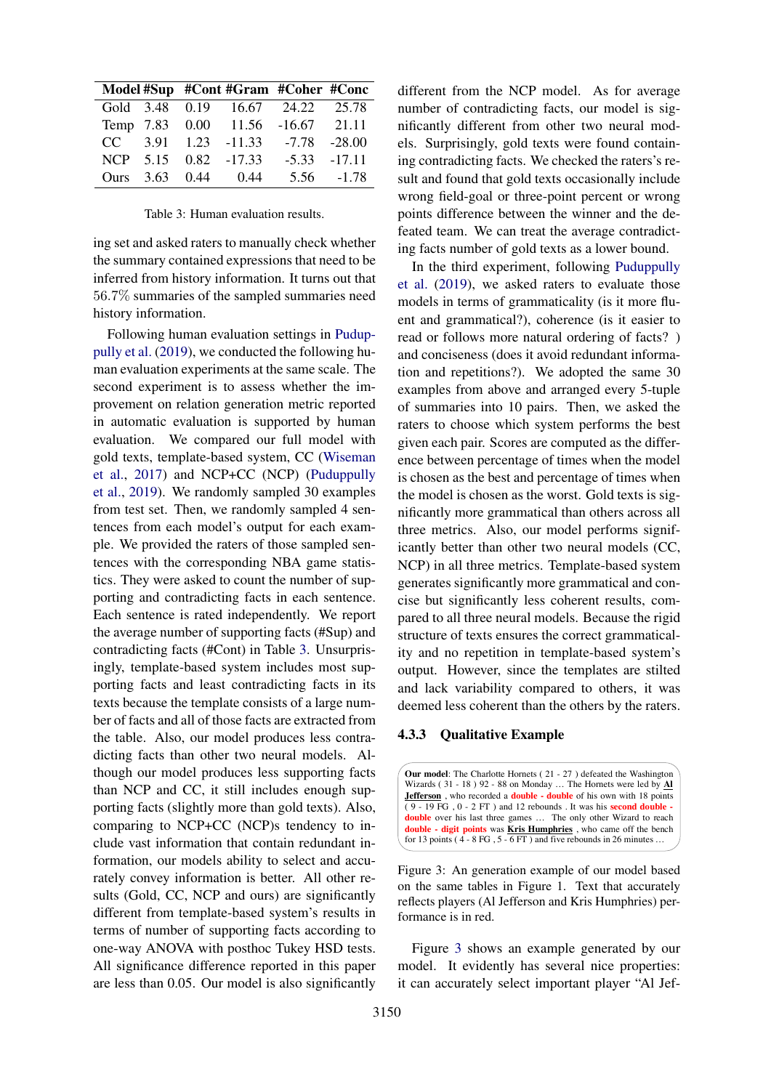<span id="page-7-0"></span>

|  | Model #Sup #Cont #Gram #Coher #Conc |                 |               |
|--|-------------------------------------|-----------------|---------------|
|  | Gold 3.48 0.19 16.67 24.22 25.78    |                 |               |
|  | Temp 7.83 0.00 11.56 -16.67 21.11   |                 |               |
|  | $CC$ 3.91 1.23 -11.33               | $-7.78 - 28.00$ |               |
|  | NCP 5.15 0.82 -17.33                | $-5.33 -17.11$  |               |
|  | Ours 3.63 0.44 0.44                 |                 | $5.56 - 1.78$ |

Table 3: Human evaluation results.

ing set and asked raters to manually check whether the summary contained expressions that need to be inferred from history information. It turns out that 56.7% summaries of the sampled summaries need history information.

Following human evaluation settings in [Pudup](#page-9-4)[pully et al.](#page-9-4) [\(2019\)](#page-9-4), we conducted the following human evaluation experiments at the same scale. The second experiment is to assess whether the improvement on relation generation metric reported in automatic evaluation is supported by human evaluation. We compared our full model with gold texts, template-based system, CC [\(Wiseman](#page-9-2) [et al.,](#page-9-2) [2017\)](#page-9-2) and NCP+CC (NCP) [\(Puduppully](#page-9-4) [et al.,](#page-9-4) [2019\)](#page-9-4). We randomly sampled 30 examples from test set. Then, we randomly sampled 4 sentences from each model's output for each example. We provided the raters of those sampled sentences with the corresponding NBA game statistics. They were asked to count the number of supporting and contradicting facts in each sentence. Each sentence is rated independently. We report the average number of supporting facts (#Sup) and contradicting facts (#Cont) in Table [3.](#page-7-0) Unsurprisingly, template-based system includes most supporting facts and least contradicting facts in its texts because the template consists of a large number of facts and all of those facts are extracted from the table. Also, our model produces less contradicting facts than other two neural models. Although our model produces less supporting facts than NCP and CC, it still includes enough supporting facts (slightly more than gold texts). Also, comparing to NCP+CC (NCP)s tendency to include vast information that contain redundant information, our models ability to select and accurately convey information is better. All other results (Gold, CC, NCP and ours) are significantly different from template-based system's results in terms of number of supporting facts according to one-way ANOVA with posthoc Tukey HSD tests. All significance difference reported in this paper are less than 0.05. Our model is also significantly

different from the NCP model. As for average number of contradicting facts, our model is significantly different from other two neural models. Surprisingly, gold texts were found containing contradicting facts. We checked the raters's result and found that gold texts occasionally include wrong field-goal or three-point percent or wrong points difference between the winner and the defeated team. We can treat the average contradicting facts number of gold texts as a lower bound.

In the third experiment, following [Puduppully](#page-9-4) [et al.](#page-9-4) [\(2019\)](#page-9-4), we asked raters to evaluate those models in terms of grammaticality (is it more fluent and grammatical?), coherence (is it easier to read or follows more natural ordering of facts? ) and conciseness (does it avoid redundant information and repetitions?). We adopted the same 30 examples from above and arranged every 5-tuple of summaries into 10 pairs. Then, we asked the raters to choose which system performs the best given each pair. Scores are computed as the difference between percentage of times when the model is chosen as the best and percentage of times when the model is chosen as the worst. Gold texts is significantly more grammatical than others across all three metrics. Also, our model performs significantly better than other two neural models (CC, NCP) in all three metrics. Template-based system generates significantly more grammatical and concise but significantly less coherent results, compared to all three neural models. Because the rigid structure of texts ensures the correct grammaticality and no repetition in template-based system's output. However, since the templates are stilted and lack variability compared to others, it was deemed less coherent than the others by the raters.

### 4.3.3 Qualitative Example

<span id="page-7-1"></span>**Our model**: The Charlotte Hornets ( 21 - 27 ) defeated the Washington Wizards ( 31 - 18 ) 92 - 88 on Monday … The Hornets were led by **Al Jefferson** , who recorded a **double - double** of his own with 18 points  $(9 - 19 \text{ FG}, 0 - 2 \text{ FT})$  and 12 rebounds . It was his **second double double** over his last three games ... The only other Wizard to reach **double - digit points** was **Kris Humphries** , who came off the bench for 13 points ( $4 - 8$  FG,  $5 - 6$  FT) and five rebounds in 26 minutes ...

Figure 3: An generation example of our model based on the same tables in Figure 1. Text that accurately reflects players (Al Jefferson and Kris Humphries) performance is in red.

Figure [3](#page-7-1) shows an example generated by our model. It evidently has several nice properties: it can accurately select important player "Al Jef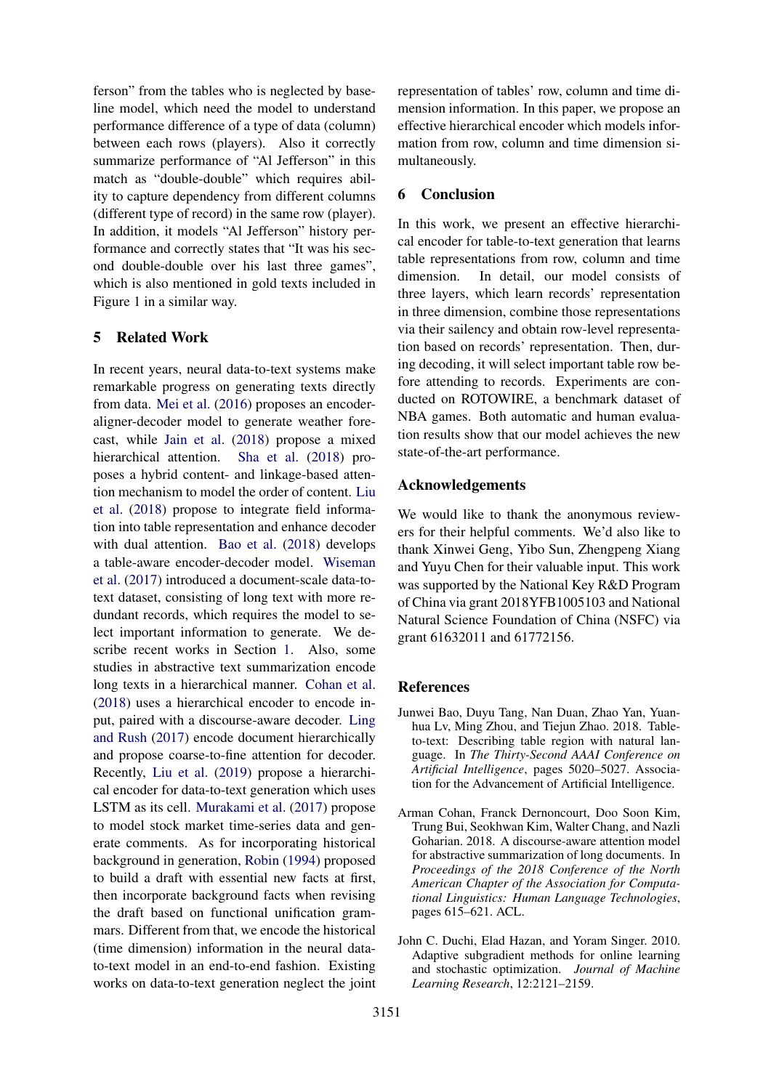ferson" from the tables who is neglected by baseline model, which need the model to understand performance difference of a type of data (column) between each rows (players). Also it correctly summarize performance of "Al Jefferson" in this match as "double-double" which requires ability to capture dependency from different columns (different type of record) in the same row (player). In addition, it models "Al Jefferson" history performance and correctly states that "It was his second double-double over his last three games", which is also mentioned in gold texts included in Figure 1 in a similar way.

# 5 Related Work

In recent years, neural data-to-text systems make remarkable progress on generating texts directly from data. [Mei et al.](#page-9-12) [\(2016\)](#page-9-12) proposes an encoderaligner-decoder model to generate weather forecast, while [Jain et al.](#page-9-13) [\(2018\)](#page-9-13) propose a mixed hierarchical attention. [Sha et al.](#page-9-14) [\(2018\)](#page-9-14) proposes a hybrid content- and linkage-based attention mechanism to model the order of content. [Liu](#page-9-15) [et al.](#page-9-15) [\(2018\)](#page-9-15) propose to integrate field information into table representation and enhance decoder with dual attention. [Bao et al.](#page-8-2) [\(2018\)](#page-8-2) develops a table-aware encoder-decoder model. [Wiseman](#page-9-2) [et al.](#page-9-2) [\(2017\)](#page-9-2) introduced a document-scale data-totext dataset, consisting of long text with more redundant records, which requires the model to select important information to generate. We describe recent works in Section [1.](#page-0-1) Also, some studies in abstractive text summarization encode long texts in a hierarchical manner. [Cohan et al.](#page-8-0) [\(2018\)](#page-8-0) uses a hierarchical encoder to encode input, paired with a discourse-aware decoder. [Ling](#page-9-16) [and Rush](#page-9-16) [\(2017\)](#page-9-16) encode document hierarchically and propose coarse-to-fine attention for decoder. Recently, [Liu et al.](#page-9-17) [\(2019\)](#page-9-17) propose a hierarchical encoder for data-to-text generation which uses LSTM as its cell. [Murakami et al.](#page-9-18) [\(2017\)](#page-9-18) propose to model stock market time-series data and generate comments. As for incorporating historical background in generation, [Robin](#page-9-19) [\(1994\)](#page-9-19) proposed to build a draft with essential new facts at first, then incorporate background facts when revising the draft based on functional unification grammars. Different from that, we encode the historical (time dimension) information in the neural datato-text model in an end-to-end fashion. Existing works on data-to-text generation neglect the joint representation of tables' row, column and time dimension information. In this paper, we propose an effective hierarchical encoder which models information from row, column and time dimension simultaneously.

# 6 Conclusion

In this work, we present an effective hierarchical encoder for table-to-text generation that learns table representations from row, column and time dimension. In detail, our model consists of three layers, which learn records' representation in three dimension, combine those representations via their sailency and obtain row-level representation based on records' representation. Then, during decoding, it will select important table row before attending to records. Experiments are conducted on ROTOWIRE, a benchmark dataset of NBA games. Both automatic and human evaluation results show that our model achieves the new state-of-the-art performance.

# Acknowledgements

We would like to thank the anonymous reviewers for their helpful comments. We'd also like to thank Xinwei Geng, Yibo Sun, Zhengpeng Xiang and Yuyu Chen for their valuable input. This work was supported by the National Key R&D Program of China via grant 2018YFB1005103 and National Natural Science Foundation of China (NSFC) via grant 61632011 and 61772156.

# References

- <span id="page-8-2"></span>Junwei Bao, Duyu Tang, Nan Duan, Zhao Yan, Yuanhua Lv, Ming Zhou, and Tiejun Zhao. 2018. Tableto-text: Describing table region with natural language. In *The Thirty-Second AAAI Conference on Artificial Intelligence*, pages 5020–5027. Association for the Advancement of Artificial Intelligence.
- <span id="page-8-0"></span>Arman Cohan, Franck Dernoncourt, Doo Soon Kim, Trung Bui, Seokhwan Kim, Walter Chang, and Nazli Goharian. 2018. A discourse-aware attention model for abstractive summarization of long documents. In *Proceedings of the 2018 Conference of the North American Chapter of the Association for Computational Linguistics: Human Language Technologies*, pages 615–621. ACL.
- <span id="page-8-1"></span>John C. Duchi, Elad Hazan, and Yoram Singer. 2010. Adaptive subgradient methods for online learning and stochastic optimization. *Journal of Machine Learning Research*, 12:2121–2159.